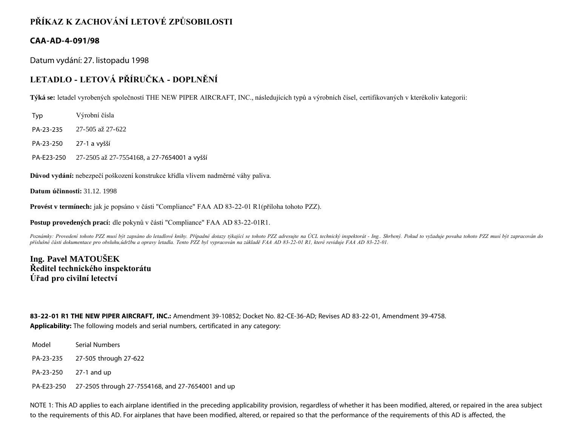## **PŘÍKAZ K ZACHOVÁNÍ LETOVÉ ZPŮSOBILOSTI**

## **CAA-AD-4-091/98**

Datum vydání: 27. listopadu 1998

## **LETADLO - LETOVÁ PŘÍRUČKA - DOPLNĚNÍ**

**Týká se:** letadel vyrobených společností THE NEW PIPER AIRCRAFT, INC., následujících typů a výrobních čísel, certifikovaných v kterékoliv kategorii:

Typ Výrobní čísla

PA-23-235 27-505 až 27-622

PA-23-250 27-1 a vyšší

PA-E23-250 27-2505 až 27-7554168, a 27-7654001 a vyšší

**Důvod vydání:** nebezpečí poškození konstrukce křídla vlivem nadměrné váhy paliva.

**Datum účinnosti:** 31.12. 1998

**Provést v termínech:** jak je popsáno v části "Compliance" FAA AD 83-22-01 R1(příloha tohoto PZZ).

**Postup provedených prací:** dle pokynů v části "Compliance" FAA AD 83-22-01R1.

Poznámky: Provedení tohoto PZZ musí být zapsáno do letadlové knihy. Případné dotazy týkající se tohoto PZZ adresujte na ÚCL technický inspektorát - Ing.. Shrbený. Pokud to vyžaduje povaha tohoto PZZ musí být zapracován do *příslušné části dokumentace pro obsluhu,údržbu a opravy letadla. Tento PZZ byl vypracován na základě FAA AD 83-22-01 R1, které reviduje FAA AD 83-22-01.*

**Ing. Pavel MATOUŠEK Ředitel technického inspektorátu Úřad pro civilní letectví**

**83-22-01 R1 THE NEW PIPER AIRCRAFT, INC.:** Amendment 39-10852; Docket No. 82-CE-36-AD; Revises AD 83-22-01, Amendment 39-4758. **Applicability:** The following models and serial numbers, certificated in any category:

Model Serial Numbers

PA-23-235 27-505 through 27-622

PA-23-250 27-1 and up

PA-E23-250 27-2505 through 27-7554168, and 27-7654001 and up

NOTE 1: This AD applies to each airplane identified in the preceding applicability provision, regardless of whether it has been modified, altered, or repaired in the area subject to the requirements of this AD. For airplanes that have been modified, altered, or repaired so that the performance of the requirements of this AD is affected, the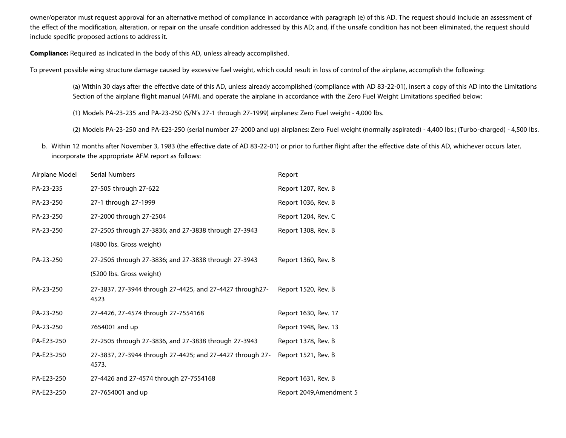owner/operator must request approval for an alternative method of compliance in accordance with paragraph (e) of this AD. The request should include an assessment of the effect of the modification, alteration, or repair on the unsafe condition addressed by this AD; and, if the unsafe condition has not been eliminated, the request should include specific proposed actions to address it.

**Compliance:** Required as indicated in the body of this AD, unless already accomplished.

To prevent possible wing structure damage caused by excessive fuel weight, which could result in loss of control of the airplane, accomplish the following:

(a) Within 30 days after the effective date of this AD, unless already accomplished (compliance with AD 83-22-01), insert a copy of this AD into the Limitations Section of the airplane flight manual (AFM), and operate the airplane in accordance with the Zero Fuel Weight Limitations specified below:

(1) Models PA-23-235 and PA-23-250 (S/N's 27-1 through 27-1999) airplanes: Zero Fuel weight - 4,000 lbs.

(2) Models PA-23-250 and PA-E23-250 (serial number 27-2000 and up) airplanes: Zero Fuel weight (normally aspirated) - 4,400 lbs.; (Turbo-charged) - 4,500 lbs.

b. Within 12 months after November 3, 1983 (the effective date of AD 83-22-01) or prior to further flight after the effective date of this AD, whichever occurs later, incorporate the appropriate AFM report as follows:

| Airplane Model | Serial Numbers                                                     | Report                   |
|----------------|--------------------------------------------------------------------|--------------------------|
| PA-23-235      | 27-505 through 27-622                                              | Report 1207, Rev. B      |
| PA-23-250      | 27-1 through 27-1999                                               | Report 1036, Rev. B      |
| PA-23-250      | 27-2000 through 27-2504                                            | Report 1204, Rev. C      |
| PA-23-250      | 27-2505 through 27-3836; and 27-3838 through 27-3943               | Report 1308, Rev. B      |
|                | (4800 lbs. Gross weight)                                           |                          |
| PA-23-250      | 27-2505 through 27-3836; and 27-3838 through 27-3943               | Report 1360, Rev. B      |
|                | (5200 lbs. Gross weight)                                           |                          |
| PA-23-250      | 27-3837, 27-3944 through 27-4425, and 27-4427 through27-<br>4523   | Report 1520, Rev. B      |
| PA-23-250      | 27-4426, 27-4574 through 27-7554168                                | Report 1630, Rev. 17     |
| PA-23-250      | 7654001 and up                                                     | Report 1948, Rev. 13     |
| PA-E23-250     | 27-2505 through 27-3836, and 27-3838 through 27-3943               | Report 1378, Rev. B      |
| PA-E23-250     | 27-3837, 27-3944 through 27-4425; and 27-4427 through 27-<br>4573. | Report 1521, Rev. B      |
| PA-E23-250     | 27-4426 and 27-4574 through 27-7554168                             | Report 1631, Rev. B      |
| PA-E23-250     | 27-7654001 and up                                                  | Report 2049, Amendment 5 |